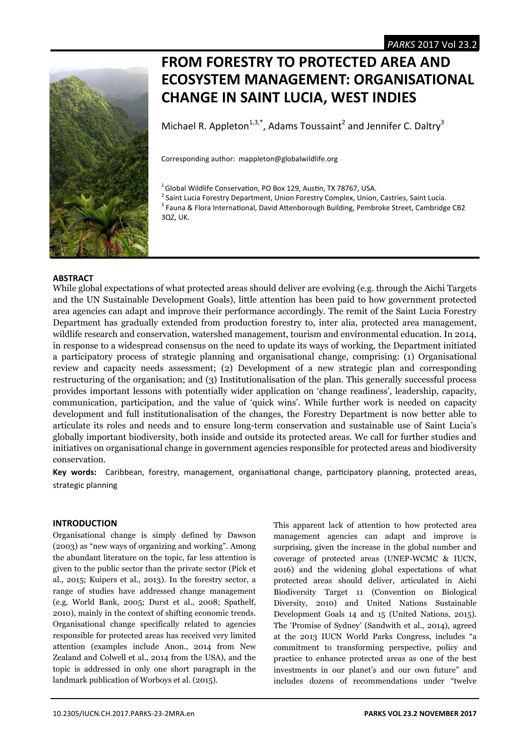

# **FROM FORESTRY TO PROTECTED AREA AND ECOSYSTEM MANAGEMENT: ORGANISATIONAL CHANGE IN SAINT LUCIA, WEST INDIES**

Michael R. Appleton<sup>1,3,\*</sup>, Adams Toussaint<sup>2</sup> and Jennifer C. Daltry<sup>3</sup>

Corresponding author: mappleton@globalwildlife.org

 $1$  Global Wildlife Conservation, PO Box 129, Austin, TX 78767, USA.

 $^2$  Saint Lucia Forestry Department, Union Forestry Complex, Union, Castries, Saint Lucia.

<sup>3</sup> Fauna & Flora International, David Attenborough Building, Pembroke Street, Cambridge CB2 3QZ, UK.

# **ABSTRACT**

While global expectations of what protected areas should deliver are evolving (e.g. through the Aichi Targets and the UN Sustainable Development Goals), little attention has been paid to how government protected area agencies can adapt and improve their performance accordingly. The remit of the Saint Lucia Forestry Department has gradually extended from production forestry to, inter alia, protected area management, wildlife research and conservation, watershed management, tourism and environmental education. In 2014, in response to a widespread consensus on the need to update its ways of working, the Department initiated a participatory process of strategic planning and organisational change, comprising: (1) Organisational review and capacity needs assessment; (2) Development of a new strategic plan and corresponding restructuring of the organisation; and (3) Institutionalisation of the plan. This generally successful process provides important lessons with potentially wider application on 'change readiness', leadership, capacity, communication, participation, and the value of 'quick wins'. While further work is needed on capacity development and full institutionalisation of the changes, the Forestry Department is now better able to articulate its roles and needs and to ensure long-term conservation and sustainable use of Saint Lucia's globally important biodiversity, both inside and outside its protected areas. We call for further studies and initiatives on organisational change in government agencies responsible for protected areas and biodiversity conservation.

Key words: Caribbean, forestry, management, organisational change, participatory planning, protected areas, strategic planning

# **INTRODUCTION**

Organisational change is simply defined by Dawson (2003) as "new ways of organizing and working". Among the abundant literature on the topic, far less attention is given to the public sector than the private sector (Pick et al., 2015; Kuipers et al., 2013). In the forestry sector, a range of studies have addressed change management (e.g. World Bank, 2005; Durst et al., 2008; Spathelf, 2010), mainly in the context of shifting economic trends. Organisational change specifically related to agencies responsible for protected areas has received very limited attention (examples include Anon., 2014 from New Zealand and Colwell et al., 2014 from the USA), and the topic is addressed in only one short paragraph in the landmark publication of Worboys et al. (2015).

This apparent lack of attention to how protected area management agencies can adapt and improve is surprising, given the increase in the global number and coverage of protected areas (UNEP-WCMC & IUCN, 2016) and the widening global expectations of what protected areas should deliver, articulated in Aichi Biodiversity Target 11 (Convention on Biological Diversity, 2010) and United Nations Sustainable Development Goals 14 and 15 (United Nations, 2015). The 'Promise of Sydney' (Sandwith et al., 2014), agreed at the 2013 IUCN World Parks Congress, includes "a commitment to transforming perspective, policy and practice to enhance protected areas as one of the best investments in our planet's and our own future" and includes dozens of recommendations under "twelve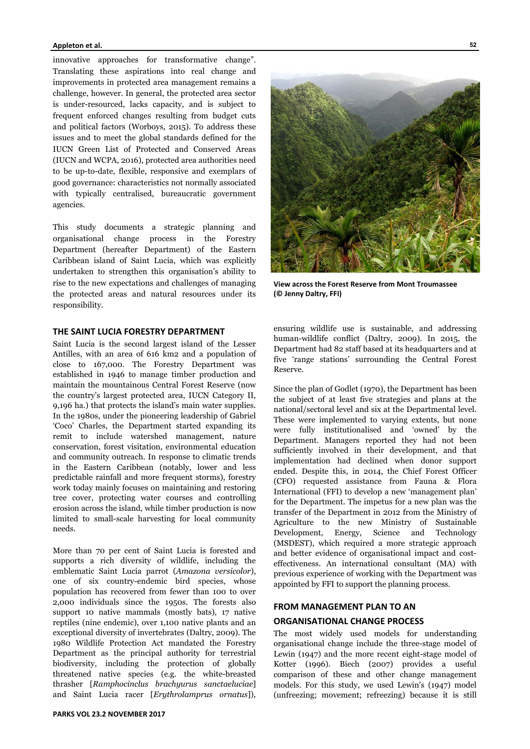#### **Appleton et al.**

innovative approaches for transformative change". Translating these aspirations into real change and improvements in protected area management remains a challenge, however. In general, the protected area sector is under-resourced, lacks capacity, and is subject to frequent enforced changes resulting from budget cuts and political factors (Worboys, 2015). To address these issues and to meet the global standards defined for the IUCN Green List of Protected and Conserved Areas (IUCN and WCPA, 2016), protected area authorities need to be up-to-date, flexible, responsive and exemplars of good governance: characteristics not normally associated with typically centralised, bureaucratic government agencies.

This study documents a strategic planning and organisational change process in the Forestry Department (hereafter Department) of the Eastern Caribbean island of Saint Lucia, which was explicitly undertaken to strengthen this organisation's ability to rise to the new expectations and challenges of managing the protected areas and natural resources under its responsibility.

#### **THE SAINT LUCIA FORESTRY DEPARTMENT**

Saint Lucia is the second largest island of the Lesser Antilles, with an area of 616 km2 and a population of close to 167,000. The Forestry Department was established in 1946 to manage timber production and maintain the mountainous Central Forest Reserve (now the country's largest protected area, IUCN Category II, 9,196 ha.) that protects the island's main water supplies. In the 1980s, under the pioneering leadership of Gabriel 'Coco' Charles, the Department started expanding its remit to include watershed management, nature conservation, forest visitation, environmental education and community outreach. In response to climatic trends in the Eastern Caribbean (notably, lower and less predictable rainfall and more frequent storms), forestry work today mainly focuses on maintaining and restoring tree cover, protecting water courses and controlling erosion across the island, while timber production is now limited to small-scale harvesting for local community needs.

More than 70 per cent of Saint Lucia is forested and supports a rich diversity of wildlife, including the emblematic Saint Lucia parrot (*Amazona versicolor*), one of six country-endemic bird species, whose population has recovered from fewer than 100 to over 2,000 individuals since the 1950s. The forests also support 10 native mammals (mostly bats), 17 native reptiles (nine endemic), over 1,100 native plants and an exceptional diversity of invertebrates (Daltry, 2009). The 1980 Wildlife Protection Act mandated the Forestry Department as the principal authority for terrestrial biodiversity, including the protection of globally threatened native species (e.g. the white-breasted thrasher [*Ramphocinclus brachyurus sanctaeluciae*] and Saint Lucia racer [*Erythrolamprus ornatus*]),





**View across the Forest Reserve from Mont Troumassee (© Jenny Daltry, FFI)** 

ensuring wildlife use is sustainable, and addressing human-wildlife conflict (Daltry, 2009). In 2015, the Department had 82 staff based at its headquarters and at five 'range stations' surrounding the Central Forest Reserve.

Since the plan of Godlet (1970), the Department has been the subject of at least five strategies and plans at the national/sectoral level and six at the Departmental level. These were implemented to varying extents, but none were fully institutionalised and 'owned' by the Department. Managers reported they had not been sufficiently involved in their development, and that implementation had declined when donor support ended. Despite this, in 2014, the Chief Forest Officer (CFO) requested assistance from Fauna & Flora International (FFI) to develop a new 'management plan' for the Department. The impetus for a new plan was the transfer of the Department in 2012 from the Ministry of Agriculture to the new Ministry of Sustainable Development, Energy, Science and Technology (MSDEST), which required a more strategic approach and better evidence of organisational impact and costeffectiveness. An international consultant (MA) with previous experience of working with the Department was appointed by FFI to support the planning process.

# **FROM MANAGEMENT PLAN TO AN ORGANISATIONAL CHANGE PROCESS**

The most widely used models for understanding organisational change include the three-stage model of Lewin (1947) and the more recent eight-stage model of Kotter (1996). Biech (2007) provides a useful comparison of these and other change management models. For this study, we used Lewin's (1947) model (unfreezing; movement; refreezing) because it is still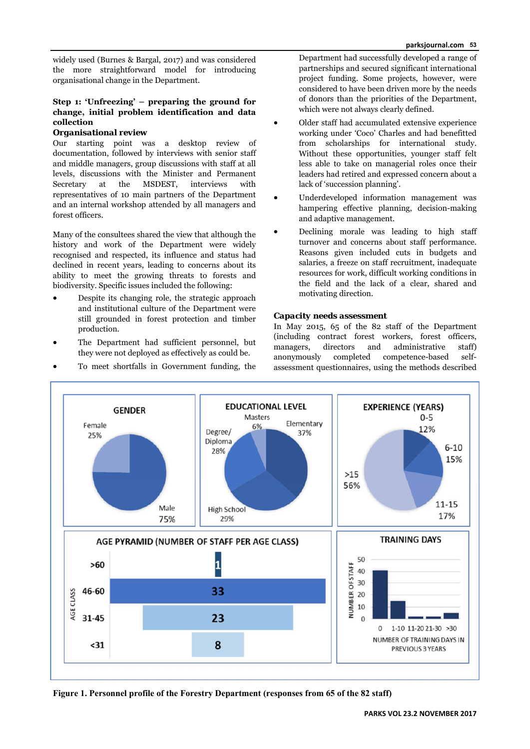widely used (Burnes & Bargal, 2017) and was considered the more straightforward model for introducing organisational change in the Department.

# **Step 1: 'Unfreezing' – preparing the ground for change, initial problem identification and data collection**

## *Organisational review*

Our starting point was a desktop review of documentation, followed by interviews with senior staff and middle managers, group discussions with staff at all levels, discussions with the Minister and Permanent Secretary at the MSDEST, interviews with representatives of 10 main partners of the Department and an internal workshop attended by all managers and forest officers.

Many of the consultees shared the view that although the history and work of the Department were widely recognised and respected, its influence and status had declined in recent years, leading to concerns about its ability to meet the growing threats to forests and biodiversity. Specific issues included the following:

- Despite its changing role, the strategic approach and institutional culture of the Department were still grounded in forest protection and timber production.
- The Department had sufficient personnel, but they were not deployed as effectively as could be.
- To meet shortfalls in Government funding, the

Department had successfully developed a range of partnerships and secured significant international project funding. Some projects, however, were considered to have been driven more by the needs of donors than the priorities of the Department, which were not always clearly defined.

- Older staff had accumulated extensive experience working under 'Coco' Charles and had benefitted from scholarships for international study. Without these opportunities, younger staff felt less able to take on managerial roles once their leaders had retired and expressed concern about a lack of 'succession planning'.
- Underdeveloped information management was hampering effective planning, decision-making and adaptive management.
- Declining morale was leading to high staff turnover and concerns about staff performance. Reasons given included cuts in budgets and salaries, a freeze on staff recruitment, inadequate resources for work, difficult working conditions in the field and the lack of a clear, shared and motivating direction.

# *Capacity needs assessment*

In May 2015, 65 of the 82 staff of the Department (including contract forest workers, forest officers, managers, directors and administrative staff) anonymously completed competence-based selfassessment questionnaires, using the methods described



**Figure 1. Personnel profile of the Forestry Department (responses from 65 of the 82 staff)**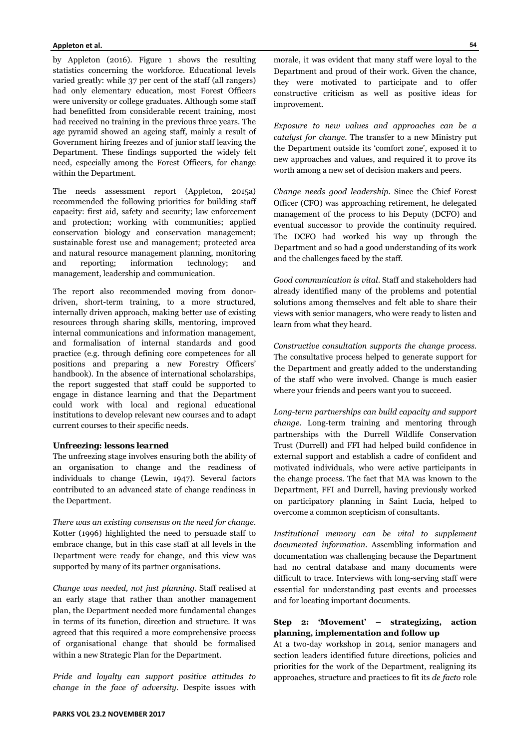by Appleton (2016). Figure 1 shows the resulting statistics concerning the workforce. Educational levels varied greatly: while 37 per cent of the staff (all rangers) had only elementary education, most Forest Officers were university or college graduates. Although some staff had benefitted from considerable recent training, most had received no training in the previous three years. The age pyramid showed an ageing staff, mainly a result of Government hiring freezes and of junior staff leaving the Department. These findings supported the widely felt need, especially among the Forest Officers, for change within the Department.

The needs assessment report (Appleton, 2015a) recommended the following priorities for building staff capacity: first aid, safety and security; law enforcement and protection; working with communities; applied conservation biology and conservation management; sustainable forest use and management; protected area and natural resource management planning, monitoring and reporting; information technology; and management, leadership and communication.

The report also recommended moving from donordriven, short-term training, to a more structured, internally driven approach, making better use of existing resources through sharing skills, mentoring, improved internal communications and information management, and formalisation of internal standards and good practice (e.g. through defining core competences for all positions and preparing a new Forestry Officers' handbook). In the absence of international scholarships, the report suggested that staff could be supported to engage in distance learning and that the Department could work with local and regional educational institutions to develop relevant new courses and to adapt current courses to their specific needs.

#### *Unfreezing: lessons learned*

The unfreezing stage involves ensuring both the ability of an organisation to change and the readiness of individuals to change (Lewin, 1947). Several factors contributed to an advanced state of change readiness in the Department.

*There was an existing consensus on the need for change.*  Kotter (1996) highlighted the need to persuade staff to embrace change, but in this case staff at all levels in the Department were ready for change, and this view was supported by many of its partner organisations.

*Change was needed, not just planning.* Staff realised at an early stage that rather than another management plan, the Department needed more fundamental changes in terms of its function, direction and structure. It was agreed that this required a more comprehensive process of organisational change that should be formalised within a new Strategic Plan for the Department.

*Pride and loyalty can support positive attitudes to change in the face of adversity.* Despite issues with

*Exposure to new values and approaches can be a catalyst for change.* The transfer to a new Ministry put the Department outside its 'comfort zone', exposed it to new approaches and values, and required it to prove its worth among a new set of decision makers and peers.

*Change needs good leadership.* Since the Chief Forest Officer (CFO) was approaching retirement, he delegated management of the process to his Deputy (DCFO) and eventual successor to provide the continuity required. The DCFO had worked his way up through the Department and so had a good understanding of its work and the challenges faced by the staff.

*Good communication is vital*. Staff and stakeholders had already identified many of the problems and potential solutions among themselves and felt able to share their views with senior managers, who were ready to listen and learn from what they heard.

*Constructive consultation supports the change process.* The consultative process helped to generate support for the Department and greatly added to the understanding of the staff who were involved. Change is much easier where your friends and peers want you to succeed.

*Long-term partnerships can build capacity and support change.* Long-term training and mentoring through partnerships with the Durrell Wildlife Conservation Trust (Durrell) and FFI had helped build confidence in external support and establish a cadre of confident and motivated individuals, who were active participants in the change process. The fact that MA was known to the Department, FFI and Durrell, having previously worked on participatory planning in Saint Lucia, helped to overcome a common scepticism of consultants.

*Institutional memory can be vital to supplement documented information.* Assembling information and documentation was challenging because the Department had no central database and many documents were difficult to trace. Interviews with long-serving staff were essential for understanding past events and processes and for locating important documents.

## **Step 2: 'Movement' – strategizing, action planning, implementation and follow up**

At a two-day workshop in 2014, senior managers and section leaders identified future directions, policies and priorities for the work of the Department, realigning its approaches, structure and practices to fit its *de facto* role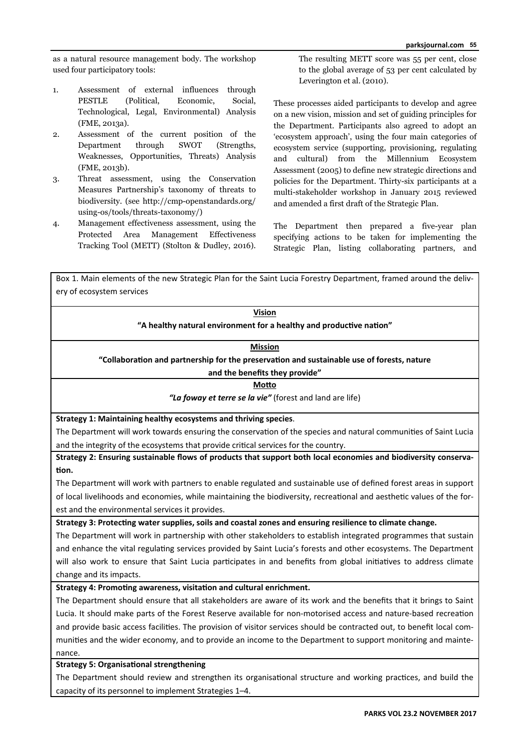as a natural resource management body. The workshop used four participatory tools:

- 1. Assessment of external influences through PESTLE (Political, Economic, Social, Technological, Legal, Environmental) Analysis (FME, 2013a).
- 2. Assessment of the current position of the Department through SWOT (Strengths, Weaknesses, Opportunities, Threats) Analysis (FME, 2013b).
- 3. Threat assessment, using the Conservation Measures Partnership's taxonomy of threats to biodiversity. (see http://cmp-openstandards.org/ using-os/tools/threats-taxonomy/)
- 4. Management effectiveness assessment, using the Protected Area Management Effectiveness Tracking Tool (METT) (Stolton & Dudley, 2016).

The resulting METT score was 55 per cent, close to the global average of 53 per cent calculated by Leverington et al. (2010).

These processes aided participants to develop and agree on a new vision, mission and set of guiding principles for the Department. Participants also agreed to adopt an 'ecosystem approach', using the four main categories of ecosystem service (supporting, provisioning, regulating and cultural) from the Millennium Ecosystem Assessment (2005) to define new strategic directions and policies for the Department. Thirty-six participants at a multi-stakeholder workshop in January 2015 reviewed and amended a first draft of the Strategic Plan.

The Department then prepared a five-year plan specifying actions to be taken for implementing the Strategic Plan, listing collaborating partners, and

Box 1. Main elements of the new Strategic Plan for the Saint Lucia Forestry Department, framed around the delivery of ecosystem services

| <b>Vision</b>                                                       |
|---------------------------------------------------------------------|
| "A healthy natural environment for a healthy and productive nation" |

# **Mission**

**"CollaboraƟon and partnership for the preservaƟon and sustainable use of forests, nature**

## **and the benefits they provide"**

**MoƩo**

*"La foway et terre se la vie"* (forest and land are life)

**Strategy 1: Maintaining healthy ecosystems and thriving species**.

The Department will work towards ensuring the conservation of the species and natural communities of Saint Lucia and the integrity of the ecosystems that provide critical services for the country.

**Strategy 2: Ensuring sustainable flows of products that support both local economies and biodiversity conserva‐ Ɵon.**

The Department will work with partners to enable regulated and sustainable use of defined forest areas in support of local livelihoods and economies, while maintaining the biodiversity, recreational and aesthetic values of the forest and the environmental services it provides.

**Strategy 3: ProtecƟng water supplies, soils and coastal zones and ensuring resilience to climate change.**

The Department will work in partnership with other stakeholders to establish integrated programmes that sustain and enhance the vital regulating services provided by Saint Lucia's forests and other ecosystems. The Department will also work to ensure that Saint Lucia participates in and benefits from global initiatives to address climate change and its impacts.

# Strategy 4: Promoting awareness, visitation and cultural enrichment.

The Department should ensure that all stakeholders are aware of its work and the benefits that it brings to Saint Lucia. It should make parts of the Forest Reserve available for non-motorised access and nature-based recreation and provide basic access facilities. The provision of visitor services should be contracted out, to benefit local communities and the wider economy, and to provide an income to the Department to support monitoring and maintenance.

# **Strategy 5: Organisational strengthening**

The Department should review and strengthen its organisational structure and working practices, and build the capacity of its personnel to implement Strategies 1–4.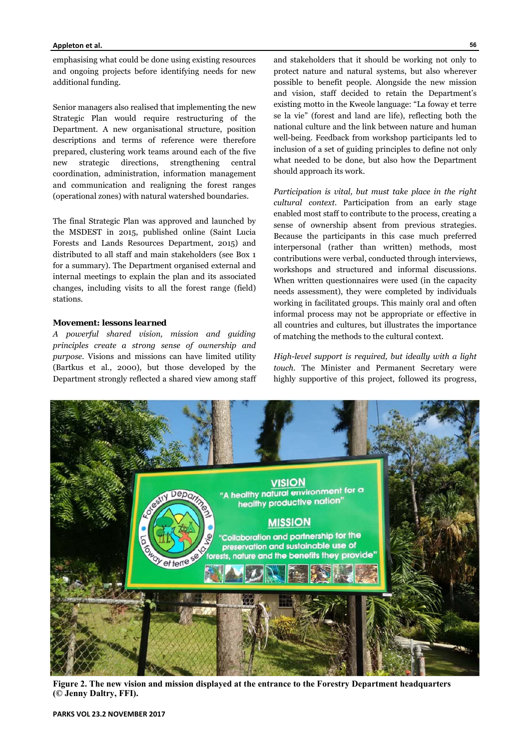#### **Appleton et al.**

emphasising what could be done using existing resources and ongoing projects before identifying needs for new additional funding.

Senior managers also realised that implementing the new Strategic Plan would require restructuring of the Department. A new organisational structure, position descriptions and terms of reference were therefore prepared, clustering work teams around each of the five new strategic directions, strengthening central coordination, administration, information management and communication and realigning the forest ranges (operational zones) with natural watershed boundaries.

The final Strategic Plan was approved and launched by the MSDEST in 2015, published online (Saint Lucia Forests and Lands Resources Department, 2015) and distributed to all staff and main stakeholders (see Box 1 for a summary). The Department organised external and internal meetings to explain the plan and its associated changes, including visits to all the forest range (field) stations.

#### *Movement: lessons learned*

*A powerful shared vision, mission and guiding principles create a strong sense of ownership and purpose.* Visions and missions can have limited utility (Bartkus et al., 2000), but those developed by the Department strongly reflected a shared view among staff and stakeholders that it should be working not only to protect nature and natural systems, but also wherever possible to benefit people. Alongside the new mission and vision, staff decided to retain the Department's existing motto in the Kweole language: "La foway et terre se la vie" (forest and land are life), reflecting both the national culture and the link between nature and human well-being. Feedback from workshop participants led to inclusion of a set of guiding principles to define not only what needed to be done, but also how the Department should approach its work.

*Participation is vital, but must take place in the right cultural context.* Participation from an early stage enabled most staff to contribute to the process, creating a sense of ownership absent from previous strategies. Because the participants in this case much preferred interpersonal (rather than written) methods, most contributions were verbal, conducted through interviews, workshops and structured and informal discussions. When written questionnaires were used (in the capacity needs assessment), they were completed by individuals working in facilitated groups. This mainly oral and often informal process may not be appropriate or effective in all countries and cultures, but illustrates the importance of matching the methods to the cultural context.

*High-level support is required, but ideally with a light touch.* The Minister and Permanent Secretary were highly supportive of this project, followed its progress,



**Figure 2. The new vision and mission displayed at the entrance to the Forestry Department headquarters (© Jenny Daltry, FFI).**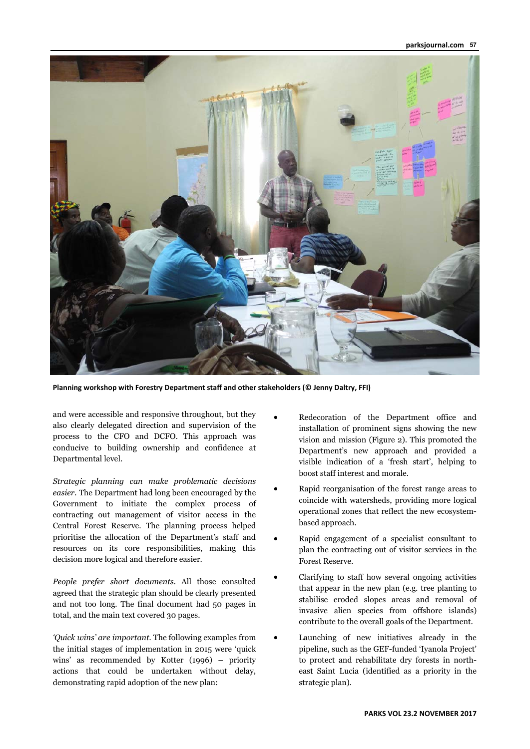#### **parksjournal.com 57**



**Planning workshop with Forestry Department staff and other stakeholders (© Jenny Daltry, FFI)** 

and were accessible and responsive throughout, but they also clearly delegated direction and supervision of the process to the CFO and DCFO. This approach was conducive to building ownership and confidence at Departmental level.

*Strategic planning can make problematic decisions easier.* The Department had long been encouraged by the Government to initiate the complex process of contracting out management of visitor access in the Central Forest Reserve. The planning process helped prioritise the allocation of the Department's staff and resources on its core responsibilities, making this decision more logical and therefore easier.

*People prefer short documents.* All those consulted agreed that the strategic plan should be clearly presented and not too long. The final document had 50 pages in total, and the main text covered 30 pages.

*'Quick wins' are important.* The following examples from the initial stages of implementation in 2015 were 'quick wins' as recommended by Kotter (1996) – priority actions that could be undertaken without delay, demonstrating rapid adoption of the new plan:

- Redecoration of the Department office and installation of prominent signs showing the new vision and mission (Figure 2). This promoted the Department's new approach and provided a visible indication of a 'fresh start', helping to boost staff interest and morale.
- Rapid reorganisation of the forest range areas to coincide with watersheds, providing more logical operational zones that reflect the new ecosystembased approach.
- Rapid engagement of a specialist consultant to plan the contracting out of visitor services in the Forest Reserve.
- Clarifying to staff how several ongoing activities that appear in the new plan (e.g. tree planting to stabilise eroded slopes areas and removal of invasive alien species from offshore islands) contribute to the overall goals of the Department.
- Launching of new initiatives already in the pipeline, such as the GEF-funded 'Iyanola Project' to protect and rehabilitate dry forests in northeast Saint Lucia (identified as a priority in the strategic plan).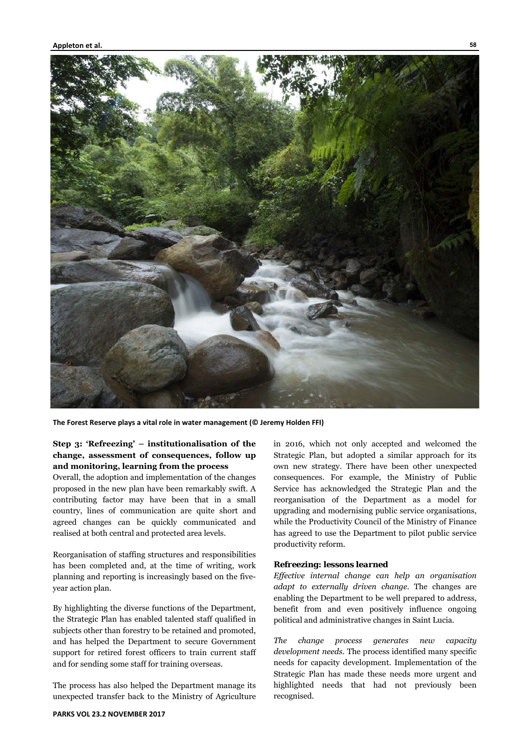

**The Forest Reserve plays a vital role in water management (© Jeremy Holden FFI)** 

# **Step 3: 'Refreezing' – institutionalisation of the change, assessment of consequences, follow up and monitoring, learning from the process**

Overall, the adoption and implementation of the changes proposed in the new plan have been remarkably swift. A contributing factor may have been that in a small country, lines of communication are quite short and agreed changes can be quickly communicated and realised at both central and protected area levels.

Reorganisation of staffing structures and responsibilities has been completed and, at the time of writing, work planning and reporting is increasingly based on the fiveyear action plan.

By highlighting the diverse functions of the Department, the Strategic Plan has enabled talented staff qualified in subjects other than forestry to be retained and promoted, and has helped the Department to secure Government support for retired forest officers to train current staff and for sending some staff for training overseas.

The process has also helped the Department manage its unexpected transfer back to the Ministry of Agriculture

in 2016, which not only accepted and welcomed the Strategic Plan, but adopted a similar approach for its own new strategy. There have been other unexpected consequences. For example, the Ministry of Public Service has acknowledged the Strategic Plan and the reorganisation of the Department as a model for upgrading and modernising public service organisations, while the Productivity Council of the Ministry of Finance has agreed to use the Department to pilot public service productivity reform.

#### *Refreezing: lessons learned*

*Effective internal change can help an organisation adapt to externally driven change.* The changes are enabling the Department to be well prepared to address, benefit from and even positively influence ongoing political and administrative changes in Saint Lucia.

*The change process generates new capacity development needs.* The process identified many specific needs for capacity development. Implementation of the Strategic Plan has made these needs more urgent and highlighted needs that had not previously been recognised.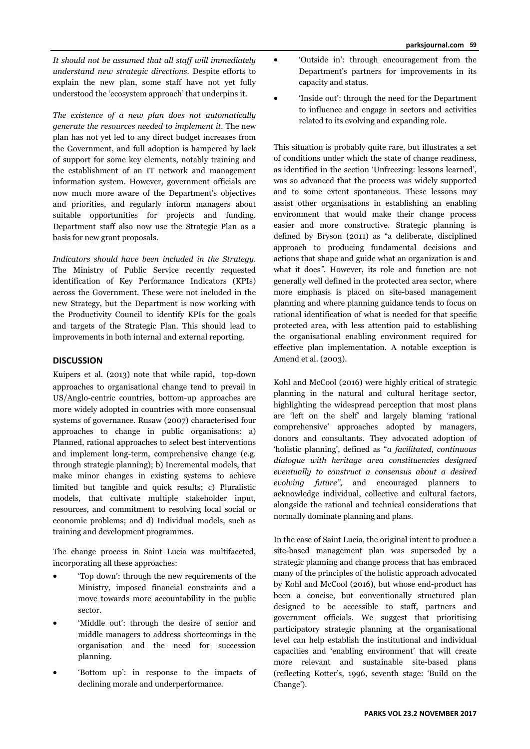*It should not be assumed that all staff will immediately understand new strategic directions.* Despite efforts to explain the new plan, some staff have not yet fully understood the 'ecosystem approach' that underpins it.

*The existence of a new plan does not automatically generate the resources needed to implement it.* The new plan has not yet led to any direct budget increases from the Government, and full adoption is hampered by lack of support for some key elements, notably training and the establishment of an IT network and management information system. However, government officials are now much more aware of the Department's objectives and priorities, and regularly inform managers about suitable opportunities for projects and funding. Department staff also now use the Strategic Plan as a basis for new grant proposals.

*Indicators should have been included in the Strategy.*  The Ministry of Public Service recently requested identification of Key Performance Indicators (KPIs) across the Government. These were not included in the new Strategy, but the Department is now working with the Productivity Council to identify KPIs for the goals and targets of the Strategic Plan. This should lead to improvements in both internal and external reporting.

# **DISCUSSION**

Kuipers et al. (2013) note that while rapid, top-down approaches to organisational change tend to prevail in US/Anglo-centric countries, bottom-up approaches are more widely adopted in countries with more consensual systems of governance. Rusaw (2007) characterised four approaches to change in public organisations: a) Planned, rational approaches to select best interventions and implement long-term, comprehensive change (e.g. through strategic planning); b) Incremental models, that make minor changes in existing systems to achieve limited but tangible and quick results; c) Pluralistic models, that cultivate multiple stakeholder input, resources, and commitment to resolving local social or economic problems; and d) Individual models, such as training and development programmes.

The change process in Saint Lucia was multifaceted, incorporating all these approaches:

- 'Top down': through the new requirements of the Ministry, imposed financial constraints and a move towards more accountability in the public sector.
- 'Middle out': through the desire of senior and middle managers to address shortcomings in the organisation and the need for succession planning.
- 'Bottom up': in response to the impacts of declining morale and underperformance.
- 'Outside in': through encouragement from the Department's partners for improvements in its capacity and status.
- 'Inside out': through the need for the Department to influence and engage in sectors and activities related to its evolving and expanding role.

This situation is probably quite rare, but illustrates a set of conditions under which the state of change readiness, as identified in the section 'Unfreezing: lessons learned', was so advanced that the process was widely supported and to some extent spontaneous. These lessons may assist other organisations in establishing an enabling environment that would make their change process easier and more constructive. Strategic planning is defined by Bryson (2011) as "a deliberate, disciplined approach to producing fundamental decisions and actions that shape and guide what an organization is and what it does*"*. However, its role and function are not generally well defined in the protected area sector, where more emphasis is placed on site-based management planning and where planning guidance tends to focus on rational identification of what is needed for that specific protected area, with less attention paid to establishing the organisational enabling environment required for effective plan implementation. A notable exception is Amend et al. (2003).

Kohl and McCool (2016) were highly critical of strategic planning in the natural and cultural heritage sector, highlighting the widespread perception that most plans are 'left on the shelf' and largely blaming 'rational comprehensive' approaches adopted by managers, donors and consultants. They advocated adoption of 'holistic planning', defined as "*a facilitated, continuous dialogue with heritage area constituencies designed eventually to construct a consensus about a desired evolving future"*, and encouraged planners to acknowledge individual, collective and cultural factors, alongside the rational and technical considerations that normally dominate planning and plans.

In the case of Saint Lucia, the original intent to produce a site-based management plan was superseded by a strategic planning and change process that has embraced many of the principles of the holistic approach advocated by Kohl and McCool (2016), but whose end-product has been a concise, but conventionally structured plan designed to be accessible to staff, partners and government officials. We suggest that prioritising participatory strategic planning at the organisational level can help establish the institutional and individual capacities and 'enabling environment' that will create more relevant and sustainable site-based plans (reflecting Kotter's, 1996, seventh stage: 'Build on the Change').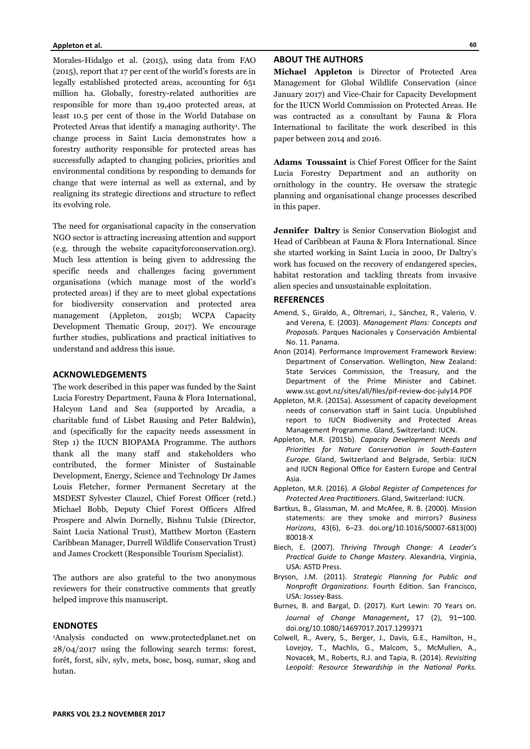#### **Appleton et al.**

Morales-Hidalgo et al. (2015), using data from FAO (2015), report that 17 per cent of the world's forests are in legally established protected areas, accounting for 651 million ha. Globally, forestry-related authorities are responsible for more than 19,400 protected areas, at least 10.5 per cent of those in the World Database on Protected Areas that identify a managing authority<sup>1</sup>. The change process in Saint Lucia demonstrates how a forestry authority responsible for protected areas has successfully adapted to changing policies, priorities and environmental conditions by responding to demands for change that were internal as well as external, and by realigning its strategic directions and structure to reflect its evolving role.

The need for organisational capacity in the conservation NGO sector is attracting increasing attention and support (e.g. through the website capacityforconservation.org). Much less attention is being given to addressing the specific needs and challenges facing government organisations (which manage most of the world's protected areas) if they are to meet global expectations for biodiversity conservation and protected area management (Appleton, 2015b; WCPA Capacity Development Thematic Group, 2017). We encourage further studies, publications and practical initiatives to understand and address this issue.

## **ACKNOWLEDGEMENTS**

The work described in this paper was funded by the Saint Lucia Forestry Department, Fauna & Flora International, Halcyon Land and Sea (supported by Arcadia, a charitable fund of Lisbet Rausing and Peter Baldwin), and (specifically for the capacity needs assessment in Step 1) the IUCN BIOPAMA Programme. The authors thank all the many staff and stakeholders who contributed, the former Minister of Sustainable Development, Energy, Science and Technology Dr James Louis Fletcher, former Permanent Secretary at the MSDEST Sylvester Clauzel, Chief Forest Officer (retd.) Michael Bobb, Deputy Chief Forest Officers Alfred Prospere and Alwin Dornelly, Bishnu Tulsie (Director, Saint Lucia National Trust), Matthew Morton (Eastern Caribbean Manager, Durrell Wildlife Conservation Trust) and James Crockett (Responsible Tourism Specialist).

The authors are also grateful to the two anonymous reviewers for their constructive comments that greatly helped improve this manuscript.

#### **ENDNOTES**

1Analysis conducted on www.protectedplanet.net on 28/04/2017 using the following search terms: forest, forêt, forst, silv, sylv, mets, bosc, bosq, sumar, skog and hutan.

#### **60**

#### **ABOUT THE AUTHORS**

**Michael Appleton** is Director of Protected Area Management for Global Wildlife Conservation (since January 2017) and Vice-Chair for Capacity Development for the IUCN World Commission on Protected Areas. He was contracted as a consultant by Fauna & Flora International to facilitate the work described in this paper between 2014 and 2016.

**Adams Toussaint** is Chief Forest Officer for the Saint Lucia Forestry Department and an authority on ornithology in the country. He oversaw the strategic planning and organisational change processes described in this paper.

**Jennifer Daltry** is Senior Conservation Biologist and Head of Caribbean at Fauna & Flora International. Since she started working in Saint Lucia in 2000, Dr Daltry's work has focused on the recovery of endangered species, habitat restoration and tackling threats from invasive alien species and unsustainable exploitation.

#### **REFERENCES**

- Amend, S., Giraldo, A., Oltremari, J., Sánchez, R., Valerio, V. and Verena, E. (2003). *Management Plans: Concepts and Proposals.* Parques Nacionales y Conservación Ambiental No. 11. Panama.
- Anon (2014). Performance Improvement Framework Review: Department of Conservation. Wellington, New Zealand: State Services Commission, the Treasury, and the Department of the Prime Minister and Cabinet. www.ssc.govt.nz/sites/all/files/pif-review-doc-july14.PDF
- Appleton, M.R. (2015a). Assessment of capacity development needs of conservation staff in Saint Lucia. Unpublished report to IUCN Biodiversity and Protected Areas Management Programme. Gland, Switzerland: IUCN.
- Appleton, M.R. (2015b). *Capacity Development Needs and PrioriƟes for Nature ConservaƟon in South‐Eastern Europe.* Gland, Switzerland and Belgrade, Serbia: IUCN and IUCN Regional Office for Eastern Europe and Central Asia.
- Appleton, M.R. (2016). *A Global Register of Competences for Protected Area PracƟƟoners*. Gland, Switzerland: IUCN.
- Bartkus, B., Glassman, M. and McAfee, R. B. (2000). Mission statements: are they smoke and mirrors? *Business Horizons*, 43(6), 6–23. doi.org/10.1016/S0007-6813(00) 80018-X
- Biech, E. (2007). *Thriving Through Change: A Leader's PracƟcal Guide to Change Mastery*. Alexandria, Virginia, USA: ASTD Press.
- Bryson, J.M. (2011). *Strategic Planning for Public and Nonprofit OrganizaƟons*. Fourth EdiƟon. San Francisco, USA: Jossey-Bass.
- Burnes, B. and Bargal, D. (2017). Kurt Lewin: 70 Years on. *Journal of Change Management*, 17 (2), 91–100. doi.org/10.1080/14697017.2017.1299371
- Colwell, R., Avery, S., Berger, J., Davis, G.E., Hamilton, H., Lovejoy, T., Machlis, G., Malcom, S., McMullen, A., Novacek, M., Roberts, R.J. and Tapia, R. (2014). *Revisiting* Leopold: Resource Stewardship in the National Parks.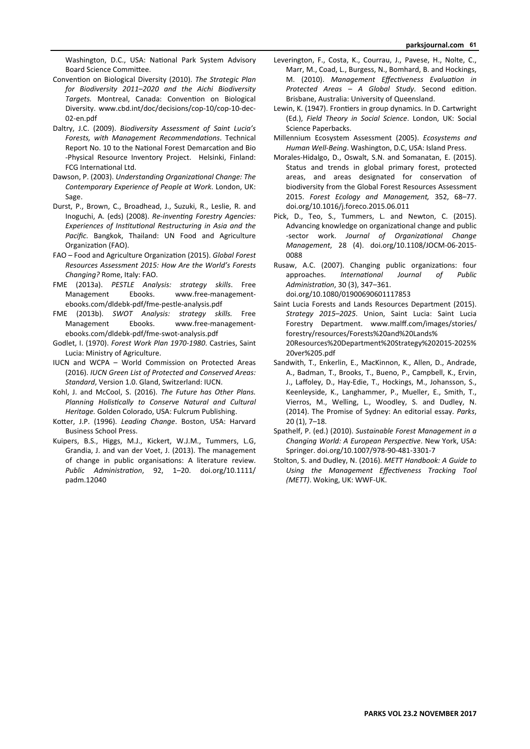Washington, D.C., USA: National Park System Advisory Board Science Committee.

- Convention on Biological Diversity (2010). The Strategic Plan *for Biodiversity 2011–2020 and the Aichi Biodiversity*  Targets. Montreal, Canada: Convention on Biological Diversity. www.cbd.int/doc/decisions/cop-10/cop-10-dec-02-en.pdf
- Daltry, J.C. (2009). *Biodiversity Assessment of Saint Lucia's Forests, with Management RecommendaƟons*. Technical Report No. 10 to the National Forest Demarcation and Bio -Physical Resource Inventory Project. Helsinki, Finland: FCG International Ltd.
- Dawson, P. (2003). *Understanding Organizational Change: The Contemporary Experience of People at Work*. London, UK: Sage.
- Durst, P., Brown, C., Broadhead, J., Suzuki, R., Leslie, R. and Inoguchi, A. (eds) (2008). *Re‐invenƟng Forestry Agencies: Experiences of InsƟtuƟonal Restructuring in Asia and the Pacific*. Bangkok, Thailand: UN Food and Agriculture Organization (FAO).
- FAO Food and Agriculture OrganizaƟon (2015). *Global Forest Resources Assessment 2015: How Are the World's Forests Changing?* Rome, Italy: FAO.
- FME (2013a). *PESTLE Analysis: strategy skills*. Free Management Ebooks. www.free-managementebooks.com/dldebk-pdf/fme-pestle-analysis.pdf
- FME (2013b). *SWOT Analysis: strategy skills.* Free Management Ebooks. www.free-managementebooks.com/dldebk-pdf/fme-swot-analysis.pdf
- Godlet, I. (1970). *Forest Work Plan 1970‐1980*. Castries, Saint Lucia: Ministry of Agriculture.
- IUCN and WCPA World Commission on Protected Areas (2016). *IUCN Green List of Protected and Conserved Areas: Standard*, Version 1.0. Gland, Switzerland: IUCN.
- Kohl, J. and McCool, S. (2016). *The Future has Other Plans.*  Planning Holistically to Conserve Natural and Cultural *Heritage.* Golden Colorado, USA: Fulcrum Publishing.
- Kotter, J.P. (1996). Leading Change. Boston, USA: Harvard Business School Press.
- Kuipers, B.S., Higgs, M.J., Kickert, W.J.M., Tummers, L.G, Grandia, J. and van der Voet, J. (2013). The management of change in public organisations: A literature review. *Public AdministraƟon*, 92, 1–20. doi.org/10.1111/ padm.12040
- Leverington, F., Costa, K., Courrau, J., Pavese, H., Nolte, C., Marr, M., Coad, L., Burgess, N., Bomhard, B. and Hockings, M. (2010). *Management Effectiveness Evaluation in* Protected Areas - A Global Study. Second edition. Brisbane, Australia: University of Queensland.
- Lewin, K. (1947). Frontiers in group dynamics. In D. Cartwright (Ed.), *Field Theory in Social Science*. London, UK: Social Science Paperbacks.
- Millennium Ecosystem Assessment (2005). *Ecosystems and Human Well‐Being*. Washington, D.C, USA: Island Press.
- Morales-Hidalgo, D., Oswalt, S.N. and Somanatan, E. (2015). Status and trends in global primary forest, protected areas, and areas designated for conservation of biodiversity from the Global Forest Resources Assessment 2015. *Forest Ecology and Management,* 352, 68–77. doi.org/10.1016/j.foreco.2015.06.011
- Pick, D., Teo, S., Tummers, L. and Newton, C. (2015). Advancing knowledge on organizational change and public -sector work. Journal of Organizational Change *Management*, 28 (4). doi.org/10.1108/JOCM-06-2015- 0088
- Rusaw, A.C. (2007). Changing public organizations: four approaches. *International Journal of Public AdministraƟon*, 30 (3), 347–361. doi.org/10.1080/01900690601117853
- Saint Lucia Forests and Lands Resources Department (2015). *Strategy 2015–2025*. Union, Saint Lucia: Saint Lucia Forestry Department. www.malff.com/images/stories/ forestry/resources/Forests%20and%20Lands% 20Resources%20Department%20Strategy%202015-2025% 20ver%205.pdf
- Sandwith, T., Enkerlin, E., MacKinnon, K., Allen, D., Andrade, A., Badman, T., Brooks, T., Bueno, P., Campbell, K., Ervin, J., Laffoley, D., Hay-Edie, T., Hockings, M., Johansson, S., Keenleyside, K., Langhammer, P., Mueller, E., Smith, T., Vierros, M., Welling, L., Woodley, S. and Dudley, N. (2014). The Promise of Sydney: An editorial essay. *Parks*, 20 (1), 7–18.
- Spathelf, P. (ed.) (2010). *Sustainable Forest Management in a Changing World: A European Perspective. New York, USA:* Springer. doi.org/10.1007/978-90-481-3301-7
- Stolton, S. and Dudley, N. (2016). *METT Handbook: A Guide to*  Using the Management Effectiveness Tracking Tool *(METT)*. Woking, UK: WWF-UK.